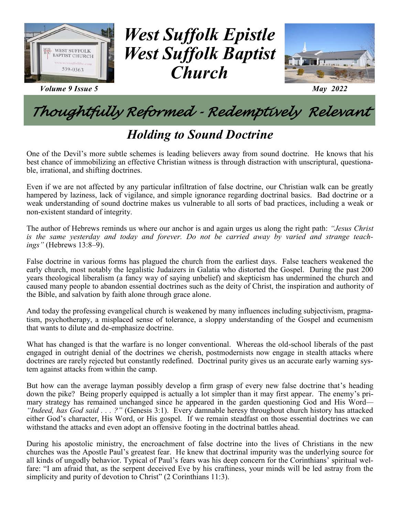

*Volume 9 Issue 5 May 2022*

## *West Suffolk Epistle West Suffolk Baptist Church*



## *Thoughtfully Reformed - Redemptively Relevant*

### *Holding to Sound Doctrine*

One of the Devil's more subtle schemes is leading believers away from sound doctrine. He knows that his best chance of immobilizing an effective Christian witness is through distraction with unscriptural, questionable, irrational, and shifting doctrines.

Even if we are not affected by any particular infiltration of false doctrine, our Christian walk can be greatly hampered by laziness, lack of vigilance, and simple ignorance regarding doctrinal basics. Bad doctrine or a weak understanding of sound doctrine makes us vulnerable to all sorts of bad practices, including a weak or non-existent standard of integrity.

The author of Hebrews reminds us where our anchor is and again urges us along the right path: *"Jesus Christ is the same yesterday and today and forever. Do not be carried away by varied and strange teachings"* (Hebrews 13:8–9).

False doctrine in various forms has plagued the church from the earliest days. False teachers weakened the early church, most notably the legalistic Judaizers in Galatia who distorted the Gospel. During the past 200 years theological liberalism (a fancy way of saying unbelief) and skepticism has undermined the church and caused many people to abandon essential doctrines such as the deity of Christ, the inspiration and authority of the Bible, and salvation by faith alone through grace alone.

And today the professing evangelical church is weakened by many influences including subjectivism, pragmatism, psychotherapy, a misplaced sense of tolerance, a sloppy understanding of the Gospel and ecumenism that wants to dilute and de-emphasize doctrine.

What has changed is that the warfare is no longer conventional. Whereas the old-school liberals of the past engaged in outright denial of the doctrines we cherish, postmodernists now engage in stealth attacks where doctrines are rarely rejected but constantly redefined. Doctrinal purity gives us an accurate early warning system against attacks from within the camp.

But how can the average layman possibly develop a firm grasp of every new false doctrine that's heading down the pike? Being properly equipped is actually a lot simpler than it may first appear. The enemy's primary strategy has remained unchanged since he appeared in the garden questioning God and His Word*— "Indeed, has God said . . . ?"* (Genesis 3:1). Every damnable heresy throughout church history has attacked either God's character, His Word, or His gospel. If we remain steadfast on those essential doctrines we can withstand the attacks and even adopt an offensive footing in the doctrinal battles ahead.

During his apostolic ministry, the encroachment of false doctrine into the lives of Christians in the new churches was the Apostle Paul's greatest fear. He knew that doctrinal impurity was the underlying source for all kinds of ungodly behavior. Typical of Paul's fears was his deep concern for the Corinthians' spiritual welfare: "I am afraid that, as the serpent deceived Eve by his craftiness, your minds will be led astray from the simplicity and purity of devotion to Christ" (2 Corinthians 11:3).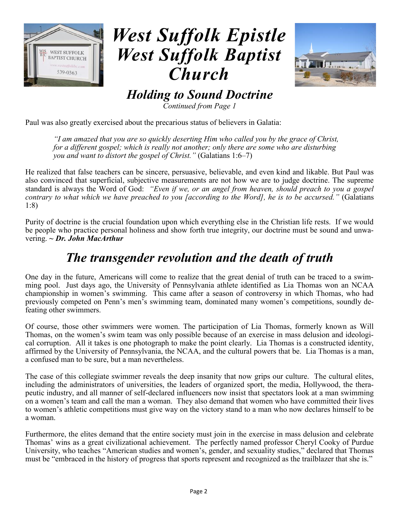



*Holding to Sound Doctrine*

*Continued from Page 1*

Paul was also greatly exercised about the precarious status of believers in Galatia:

*"I am amazed that you are so quickly deserting Him who called you by the grace of Christ, for a different gospel; which is really not another; only there are some who are disturbing you and want to distort the gospel of Christ."* (Galatians 1:6–7)

He realized that false teachers can be sincere, persuasive, believable, and even kind and likable. But Paul was also convinced that superficial, subjective measurements are not how we are to judge doctrine. The supreme standard is always the Word of God: *"Even if we, or an angel from heaven, should preach to you a gospel contrary to what which we have preached to you [according to the Word], he is to be accursed."* (Galatians 1:8)

Purity of doctrine is the crucial foundation upon which everything else in the Christian life rests. If we would be people who practice personal holiness and show forth true integrity, our doctrine must be sound and unwavering. *~ Dr. John MacArthur* 

#### *The transgender revolution and the death of truth*

One day in the future, Americans will come to realize that the great denial of truth can be traced to a swimming pool. Just days ago, the University of Pennsylvania athlete identified as Lia Thomas won an NCAA championship in women's swimming. This came after a season of controversy in which Thomas, who had previously competed on Penn's men's swimming team, dominated many women's competitions, soundly defeating other swimmers.

Of course, those other swimmers were women. The participation of Lia Thomas, formerly known as Will Thomas, on the women's swim team was only possible because of an exercise in mass delusion and ideological corruption. All it takes is one photograph to make the point clearly. Lia Thomas is a constructed identity, affirmed by the University of Pennsylvania, the NCAA, and the cultural powers that be. Lia Thomas is a man, a confused man to be sure, but a man nevertheless.

The case of this collegiate swimmer reveals the deep insanity that now grips our culture. The cultural elites, including the administrators of universities, the leaders of organized sport, the media, Hollywood, the therapeutic industry, and all manner of self-declared influencers now insist that spectators look at a man swimming on a women's team and call the man a woman. They also demand that women who have committed their lives to women's athletic competitions must give way on the victory stand to a man who now declares himself to be a woman.

Furthermore, the elites demand that the entire society must join in the exercise in mass delusion and celebrate Thomas' wins as a great civilizational achievement. The perfectly named professor Cheryl Cooky of Purdue University, who teaches "American studies and women's, gender, and sexuality studies," declared that Thomas must be "embraced in the history of progress that sports represent and recognized as the trailblazer that she is."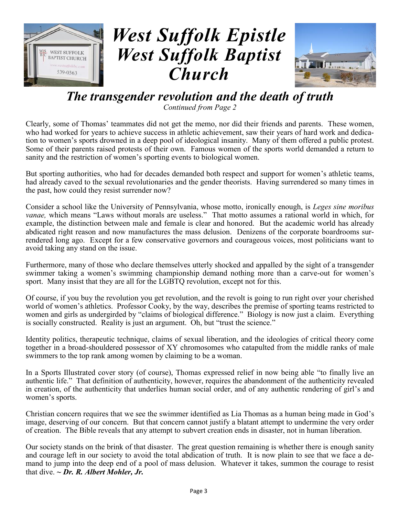



#### *The transgender revolution and the death of truth*

*Continued from Page 2*

Clearly, some of Thomas' teammates did not get the memo, nor did their friends and parents. These women, who had worked for years to achieve success in athletic achievement, saw their years of hard work and dedication to women's sports drowned in a deep pool of ideological insanity. Many of them offered a public protest. Some of their parents raised protests of their own. Famous women of the sports world demanded a return to sanity and the restriction of women's sporting events to biological women.

But sporting authorities, who had for decades demanded both respect and support for women's athletic teams, had already caved to the sexual revolutionaries and the gender theorists. Having surrendered so many times in the past, how could they resist surrender now?

Consider a school like the University of Pennsylvania, whose motto, ironically enough, is *Leges sine moribus vanae,* which means "Laws without morals are useless." That motto assumes a rational world in which, for example, the distinction between male and female is clear and honored. But the academic world has already abdicated right reason and now manufactures the mass delusion. Denizens of the corporate boardrooms surrendered long ago. Except for a few conservative governors and courageous voices, most politicians want to avoid taking any stand on the issue.

Furthermore, many of those who declare themselves utterly shocked and appalled by the sight of a transgender swimmer taking a women's swimming championship demand nothing more than a carve-out for women's sport. Many insist that they are all for the LGBTQ revolution, except not for this.

Of course, if you buy the revolution you get revolution, and the revolt is going to run right over your cherished world of women's athletics. Professor Cooky, by the way, describes the premise of sporting teams restricted to women and girls as undergirded by "claims of biological difference." Biology is now just a claim. Everything is socially constructed. Reality is just an argument. Oh, but "trust the science."

Identity politics, therapeutic technique, claims of sexual liberation, and the ideologies of critical theory come together in a broad-shouldered possessor of XY chromosomes who catapulted from the middle ranks of male swimmers to the top rank among women by claiming to be a woman.

In a Sports Illustrated cover story (of course), Thomas expressed relief in now being able "to finally live an authentic life." That definition of authenticity, however, requires the abandonment of the authenticity revealed in creation, of the authenticity that underlies human social order, and of any authentic rendering of girl's and women's sports.

Christian concern requires that we see the swimmer identified as Lia Thomas as a human being made in God's image, deserving of our concern. But that concern cannot justify a blatant attempt to undermine the very order of creation. The Bible reveals that any attempt to subvert creation ends in disaster, not in human liberation.

Our society stands on the brink of that disaster. The great question remaining is whether there is enough sanity and courage left in our society to avoid the total abdication of truth. It is now plain to see that we face a demand to jump into the deep end of a pool of mass delusion. Whatever it takes, summon the courage to resist that dive. *~ Dr. R. Albert Mohler, Jr.*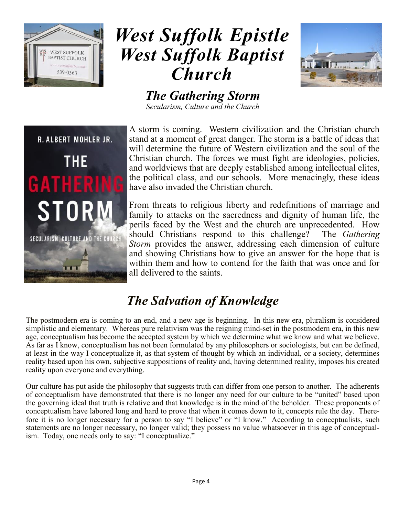



*The Gathering Storm Secularism, Culture and the Church*



A storm is coming. Western civilization and the Christian church stand at a moment of great danger. The storm is a battle of ideas that will determine the future of Western civilization and the soul of the Christian church. The forces we must fight are ideologies, policies, and worldviews that are deeply established among intellectual elites, the political class, and our schools. More menacingly, these ideas have also invaded the Christian church.

From threats to religious liberty and redefinitions of marriage and family to attacks on the sacredness and dignity of human life, the perils faced by the West and the church are unprecedented. How should Christians respond to this challenge? The *Gathering Storm* provides the answer, addressing each dimension of culture and showing Christians how to give an answer for the hope that is within them and how to contend for the faith that was once and for all delivered to the saints.

## *The Salvation of Knowledge*

The postmodern era is coming to an end, and a new age is beginning. In this new era, pluralism is considered simplistic and elementary. Whereas pure relativism was the reigning mind-set in the postmodern era, in this new age, conceptualism has become the accepted system by which we determine what we know and what we believe. As far as I know, conceptualism has not been formulated by any philosophers or sociologists, but can be defined, at least in the way I conceptualize it, as that system of thought by which an individual, or a society, determines reality based upon his own, subjective suppositions of reality and, having determined reality, imposes his created reality upon everyone and everything.

Our culture has put aside the philosophy that suggests truth can differ from one person to another. The adherents of conceptualism have demonstrated that there is no longer any need for our culture to be "united" based upon the governing ideal that truth is relative and that knowledge is in the mind of the beholder. These proponents of conceptualism have labored long and hard to prove that when it comes down to it, concepts rule the day. Therefore it is no longer necessary for a person to say "I believe" or "I know." According to conceptualists, such statements are no longer necessary, no longer valid; they possess no value whatsoever in this age of conceptualism. Today, one needs only to say: "I conceptualize."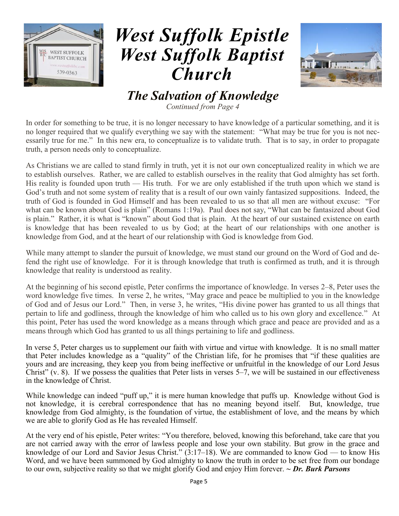



#### *The Salvation of Knowledge*

*Continued from Page 4*

In order for something to be true, it is no longer necessary to have knowledge of a particular something, and it is no longer required that we qualify everything we say with the statement: "What may be true for you is not necessarily true for me." In this new era, to conceptualize is to validate truth. That is to say, in order to propagate truth, a person needs only to conceptualize.

As Christians we are called to stand firmly in truth, yet it is not our own conceptualized reality in which we are to establish ourselves. Rather, we are called to establish ourselves in the reality that God almighty has set forth. His reality is founded upon truth — His truth. For we are only established if the truth upon which we stand is God's truth and not some system of reality that is a result of our own vainly fantasized suppositions. Indeed, the truth of God is founded in God Himself and has been revealed to us so that all men are without excuse: "For what can be known about God is plain" (Romans 1:19a). Paul does not say, "What can be fantasized about God is plain." Rather, it is what is "known" about God that is plain. At the heart of our sustained existence on earth is knowledge that has been revealed to us by God; at the heart of our relationships with one another is knowledge from God, and at the heart of our relationship with God is knowledge from God.

While many attempt to slander the pursuit of knowledge, we must stand our ground on the Word of God and defend the right use of knowledge. For it is through knowledge that truth is confirmed as truth, and it is through knowledge that reality is understood as reality.

At the beginning of his second epistle, Peter confirms the importance of knowledge. In verses 2–8, Peter uses the word knowledge five times. In verse 2, he writes, "May grace and peace be multiplied to you in the knowledge of God and of Jesus our Lord." Then, in verse 3, he writes, "His divine power has granted to us all things that pertain to life and godliness, through the knowledge of him who called us to his own glory and excellence." At this point, Peter has used the word knowledge as a means through which grace and peace are provided and as a means through which God has granted to us all things pertaining to life and godliness.

In verse 5, Peter charges us to supplement our faith with virtue and virtue with knowledge. It is no small matter that Peter includes knowledge as a "quality" of the Christian life, for he promises that "if these qualities are yours and are increasing, they keep you from being ineffective or unfruitful in the knowledge of our Lord Jesus Christ" (v. 8). If we possess the qualities that Peter lists in verses 5–7, we will be sustained in our effectiveness in the knowledge of Christ.

While knowledge can indeed "puff up," it is mere human knowledge that puffs up. Knowledge without God is not knowledge, it is cerebral correspondence that has no meaning beyond itself. But, knowledge, true knowledge from God almighty, is the foundation of virtue, the establishment of love, and the means by which we are able to glorify God as He has revealed Himself.

At the very end of his epistle, Peter writes: "You therefore, beloved, knowing this beforehand, take care that you are not carried away with the error of lawless people and lose your own stability. But grow in the grace and knowledge of our Lord and Savior Jesus Christ." (3:17–18). We are commanded to know God — to know His Word, and we have been summoned by God almighty to know the truth in order to be set free from our bondage to our own, subjective reality so that we might glorify God and enjoy Him forever. *~ Dr. Burk Parsons*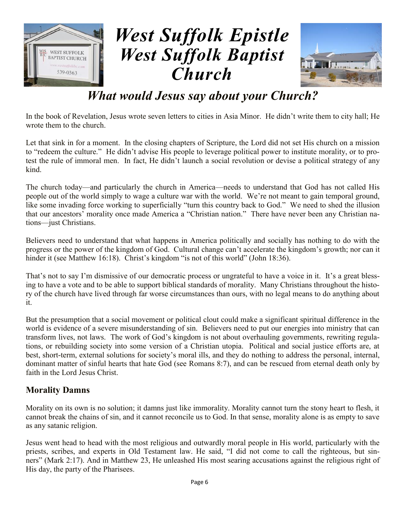



## *What would Jesus say about your Church?*

In the book of Revelation, Jesus wrote seven letters to cities in Asia Minor. He didn't write them to city hall; He wrote them to the church.

Let that sink in for a moment. In the closing chapters of Scripture, the Lord did not set His church on a mission to "redeem the culture." He didn't advise His people to leverage political power to institute morality, or to protest the rule of immoral men. In fact, He didn't launch a social revolution or devise a political strategy of any kind.

The church today—and particularly the church in America—needs to understand that God has not called His people out of the world simply to wage a culture war with the world. We're not meant to gain temporal ground, like some invading force working to superficially "turn this country back to God." We need to shed the illusion that our ancestors' morality once made America a "Christian nation." There have never been any Christian nations—just Christians.

Believers need to understand that what happens in America politically and socially has nothing to do with the progress or the power of the kingdom of God. Cultural change can't accelerate the kingdom's growth; nor can it hinder it (see Matthew 16:18). Christ's kingdom "is not of this world" (John 18:36).

That's not to say I'm dismissive of our democratic process or ungrateful to have a voice in it. It's a great blessing to have a vote and to be able to support biblical standards of morality. Many Christians throughout the history of the church have lived through far worse circumstances than ours, with no legal means to do anything about it.

But the presumption that a social movement or political clout could make a significant spiritual difference in the world is evidence of a severe misunderstanding of sin. Believers need to put our energies into ministry that can transform lives, not laws. The work of God's kingdom is not about overhauling governments, rewriting regulations, or rebuilding society into some version of a Christian utopia. Political and social justice efforts are, at best, short-term, external solutions for society's moral ills, and they do nothing to address the personal, internal, dominant matter of sinful hearts that hate God (see Romans 8:7), and can be rescued from eternal death only by faith in the Lord Jesus Christ.

#### **Morality Damns**

Morality on its own is no solution; it damns just like immorality. Morality cannot turn the stony heart to flesh, it cannot break the chains of sin, and it cannot reconcile us to God. In that sense, morality alone is as empty to save as any satanic religion.

Jesus went head to head with the most religious and outwardly moral people in His world, particularly with the priests, scribes, and experts in Old Testament law. He said, "I did not come to call the righteous, but sinners" (Mark 2:17). And in Matthew 23, He unleashed His most searing accusations against the religious right of His day, the party of the Pharisees.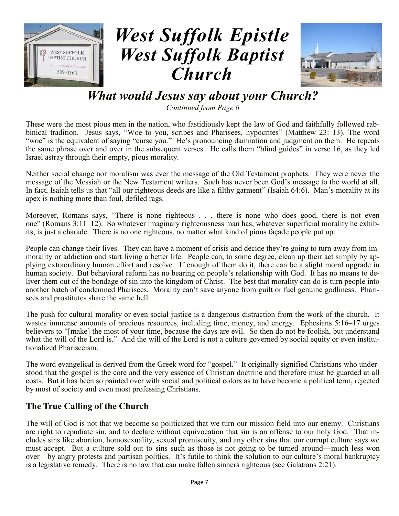



#### *What would Jesus say about your Church?*

*Continued from Page 6*

These were the most pious men in the nation, who fastidiously kept the law of God and faithfully followed rabbinical tradition. Jesus says, "Woe to you, scribes and Pharisees, hypocrites" (Matthew 23: 13). The word "woe" is the equivalent of saying "curse you." He's pronouncing damnation and judgment on them. He repeats the same phrase over and over in the subsequent verses. He calls them "blind guides" in verse 16, as they led Israel astray through their empty, pious morality.

Neither social change nor moralism was ever the message of the Old Testament prophets. They were never the message of the Messiah or the New Testament writers. Such has never been God's message to the world at all. In fact, Isaiah tells us that "all our righteous deeds are like a filthy garment" (Isaiah 64:6). Man's morality at its apex is nothing more than foul, defiled rags.

Moreover, Romans says, "There is none righteous . . . there is none who does good, there is not even one" (Romans 3:11–12). So whatever imaginary righteousness man has, whatever superficial morality he exhibits, is just a charade. There is no one righteous, no matter what kind of pious façade people put up.

People can change their lives. They can have a moment of crisis and decide they're going to turn away from immorality or addiction and start living a better life. People can, to some degree, clean up their act simply by applying extraordinary human effort and resolve. If enough of them do it, there can be a slight moral upgrade in human society. But behavioral reform has no bearing on people's relationship with God. It has no means to deliver them out of the bondage of sin into the kingdom of Christ. The best that morality can do is turn people into another batch of condemned Pharisees. Morality can't save anyone from guilt or fuel genuine godliness. Pharisees and prostitutes share the same hell.

The push for cultural morality or even social justice is a dangerous distraction from the work of the church. It wastes immense amounts of precious resources, including time, money, and energy. Ephesians 5:16–17 urges believers to "[make] the most of your time, because the days are evil. So then do not be foolish, but understand what the will of the Lord is." And the will of the Lord is not a culture governed by social equity or even institutionalized Phariseeism.

The word evangelical is derived from the Greek word for "gospel." It originally signified Christians who understood that the gospel is the core and the very essence of Christian doctrine and therefore must be guarded at all costs. But it has been so painted over with social and political colors as to have become a political term, rejected by most of society and even most professing Christians.

#### **The True Calling of the Church**

The will of God is not that we become so politicized that we turn our mission field into our enemy. Christians are right to repudiate sin, and to declare without equivocation that sin is an offense to our holy God. That includes sins like abortion, homosexuality, sexual promiscuity, and any other sins that our corrupt culture says we must accept. But a culture sold out to sins such as those is not going to be turned around—much less won over—by angry protests and partisan politics. It's futile to think the solution to our culture's moral bankruptcy is a legislative remedy. There is no law that can make fallen sinners righteous (see Galatians 2:21).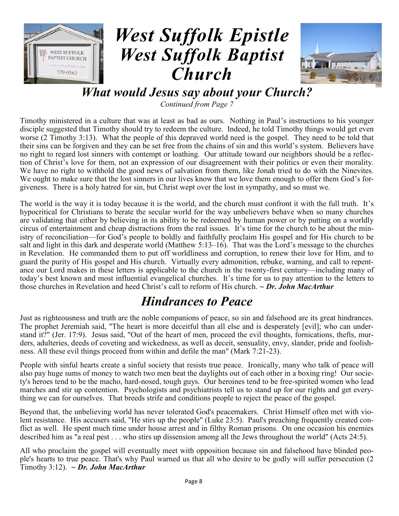



*What would Jesus say about your Church?*

*Continued from Page 7*

Timothy ministered in a culture that was at least as bad as ours. Nothing in Paul's instructions to his younger disciple suggested that Timothy should try to redeem the culture. Indeed, he told Timothy things would get even worse (2 Timothy 3:13). What the people of this depraved world need is the gospel. They need to be told that their sins can be forgiven and they can be set free from the chains of sin and this world's system. Believers have no right to regard lost sinners with contempt or loathing. Our attitude toward our neighbors should be a reflection of Christ's love for them, not an expression of our disagreement with their politics or even their morality. We have no right to withhold the good news of salvation from them, like Jonah tried to do with the Ninevites. We ought to make sure that the lost sinners in our lives know that we love them enough to offer them God's forgiveness. There is a holy hatred for sin, but Christ wept over the lost in sympathy, and so must we.

The world is the way it is today because it is the world, and the church must confront it with the full truth. It's hypocritical for Christians to berate the secular world for the way unbelievers behave when so many churches are validating that either by believing in its ability to be redeemed by human power or by putting on a worldly circus of entertainment and cheap distractions from the real issues. It's time for the church to be about the ministry of reconciliation—for God's people to boldly and faithfully proclaim His gospel and for His church to be salt and light in this dark and desperate world (Matthew 5:13–16). That was the Lord's message to the churches in Revelation. He commanded them to put off worldliness and corruption, to renew their love for Him, and to guard the purity of His gospel and His church. Virtually every admonition, rebuke, warning, and call to repentance our Lord makes in these letters is applicable to the church in the twenty-first century—including many of today's best known and most influential evangelical churches. It's time for us to pay attention to the letters to those churches in Revelation and heed Christ's call to reform of His church. *~ Dr. John MacArthur*

### *Hindrances to Peace*

Just as righteousness and truth are the noble companions of peace, so sin and falsehood are its great hindrances. The prophet Jeremiah said, "The heart is more deceitful than all else and is desperately [evil]; who can understand it?" (Jer. 17:9). Jesus said, "Out of the heart of men, proceed the evil thoughts, fornications, thefts, murders, adulteries, deeds of coveting and wickedness, as well as deceit, sensuality, envy, slander, pride and foolishness. All these evil things proceed from within and defile the man" (Mark 7:21-23).

People with sinful hearts create a sinful society that resists true peace. Ironically, many who talk of peace will also pay huge sums of money to watch two men beat the daylights out of each other in a boxing ring! Our society's heroes tend to be the macho, hard-nosed, tough guys. Our heroines tend to be free-spirited women who lead marches and stir up contention. Psychologists and psychiatrists tell us to stand up for our rights and get everything we can for ourselves. That breeds strife and conditions people to reject the peace of the gospel.

Beyond that, the unbelieving world has never tolerated God's peacemakers. Christ Himself often met with violent resistance. His accusers said, "He stirs up the people" (Luke 23:5). Paul's preaching frequently created conflict as well. He spent much time under house arrest and in filthy Roman prisons. On one occasion his enemies described him as "a real pest . . . who stirs up dissension among all the Jews throughout the world" (Acts 24:5).

All who proclaim the gospel will eventually meet with opposition because sin and falsehood have blinded people's hearts to true peace. That's why Paul warned us that all who desire to be godly will suffer persecution (2 Timothy 3:12). *~ Dr. John MacArthur*